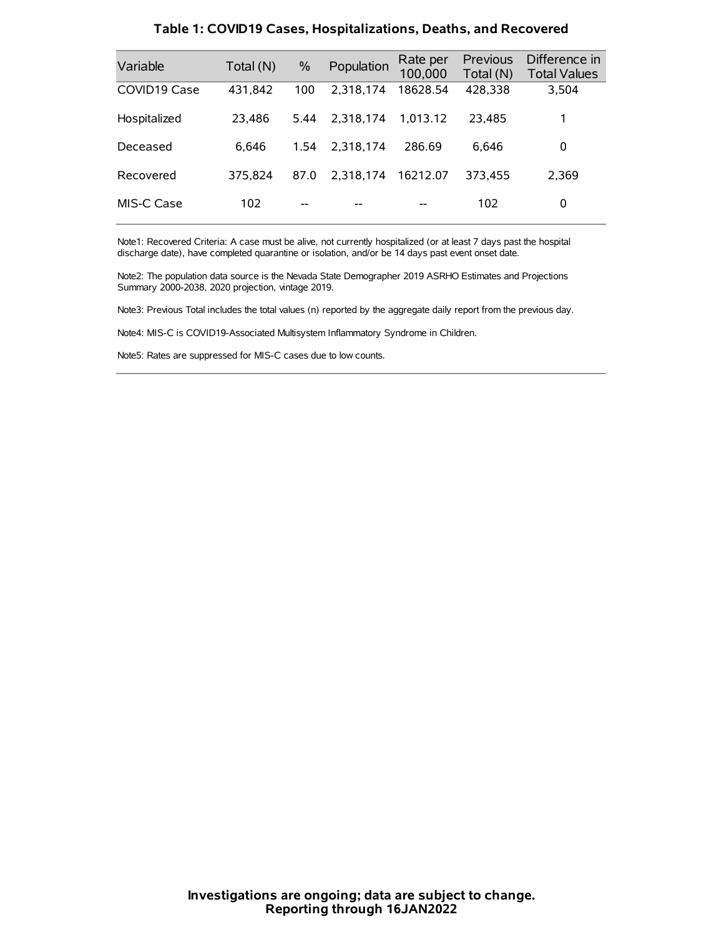| Variable     | Total (N) | $\frac{0}{0}$ | Population | Rate per<br>100,000 | Previous<br>Total (N) | Difference in<br><b>Total Values</b> |
|--------------|-----------|---------------|------------|---------------------|-----------------------|--------------------------------------|
| COVID19 Case | 431,842   | 100           | 2.318.174  | 18628.54            | 428,338               | 3,504                                |
| Hospitalized | 23.486    | 5.44          | 2.318.174  | 1.013.12            | 23.485                | 1                                    |
| Deceased     | 6.646     | 1.54          | 2.318.174  | 286.69              | 6.646                 | 0                                    |
| Recovered    | 375.824   | 87.0          | 2.318.174  | 16212.07            | 373.455               | 2.369                                |
| MIS-C Case   | 102       | --            |            |                     | 102                   | 0                                    |

#### **Table 1: COVID19 Cases, Hospitalizations, Deaths, and Recovered**

Note1: Recovered Criteria: A case must be alive, not currently hospitalized (or at least 7 days past the hospital discharge date), have completed quarantine or isolation, and/or be 14 days past event onset date.

Note2: The population data source is the Nevada State Demographer 2019 ASRHO Estimates and Projections Summary 2000-2038, 2020 projection, vintage 2019.

Note3: Previous Total includes the total values (n) reported by the aggregate daily report from the previous day.

Note4: MIS-C is COVID19-Associated Multisystem Inflammatory Syndrome in Children.

Note5: Rates are suppressed for MIS-C cases due to low counts.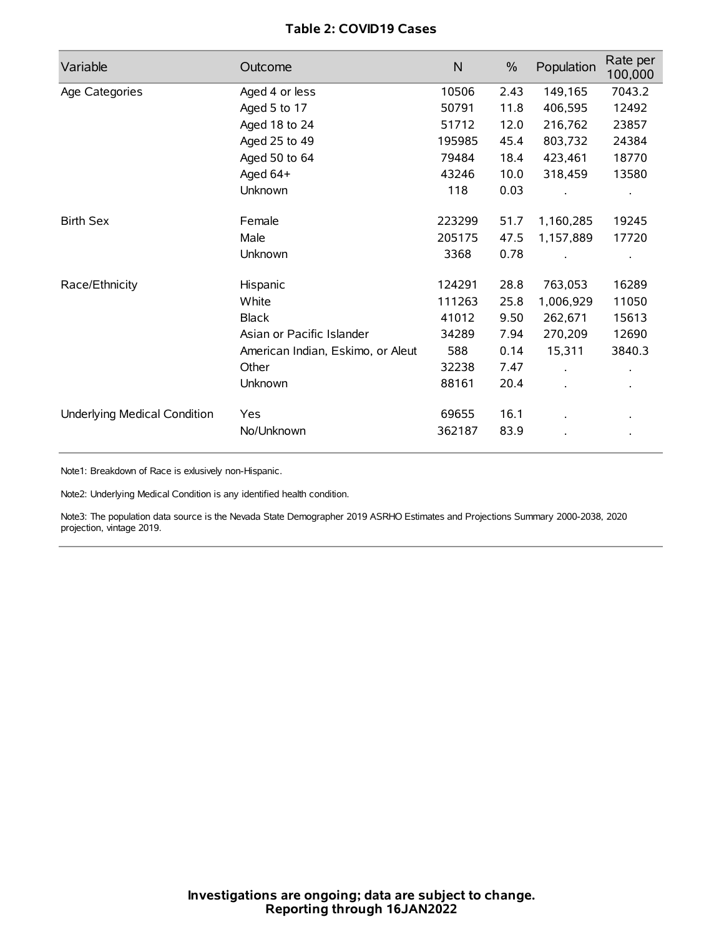# **Table 2: COVID19 Cases**

| Variable                     | Outcome                           | $\mathsf{N}$ | $\%$ | Population | Rate per<br>100,000 |
|------------------------------|-----------------------------------|--------------|------|------------|---------------------|
| Age Categories               | Aged 4 or less                    | 10506        | 2.43 | 149,165    | 7043.2              |
|                              | Aged 5 to 17                      | 50791        | 11.8 | 406,595    | 12492               |
|                              | Aged 18 to 24                     | 51712        | 12.0 | 216,762    | 23857               |
|                              | Aged 25 to 49                     | 195985       | 45.4 | 803,732    | 24384               |
|                              | Aged 50 to 64                     | 79484        | 18.4 | 423,461    | 18770               |
|                              | Aged 64+                          | 43246        | 10.0 | 318,459    | 13580               |
|                              | Unknown                           | 118          | 0.03 |            |                     |
| <b>Birth Sex</b>             | Female                            | 223299       | 51.7 | 1,160,285  | 19245               |
|                              | Male                              | 205175       | 47.5 | 1,157,889  | 17720               |
|                              | Unknown                           | 3368         | 0.78 |            |                     |
| Race/Ethnicity               | Hispanic                          | 124291       | 28.8 | 763,053    | 16289               |
|                              | White                             | 111263       | 25.8 | 1,006,929  | 11050               |
|                              | <b>Black</b>                      | 41012        | 9.50 | 262,671    | 15613               |
|                              | Asian or Pacific Islander         | 34289        | 7.94 | 270,209    | 12690               |
|                              | American Indian, Eskimo, or Aleut | 588          | 0.14 | 15,311     | 3840.3              |
|                              | Other                             | 32238        | 7.47 |            |                     |
|                              | <b>Unknown</b>                    | 88161        | 20.4 | $\cdot$    |                     |
| Underlying Medical Condition | Yes                               | 69655        | 16.1 |            |                     |
|                              | No/Unknown                        | 362187       | 83.9 |            |                     |

Note1: Breakdown of Race is exlusively non-Hispanic.

Note2: Underlying Medical Condition is any identified health condition.

Note3: The population data source is the Nevada State Demographer 2019 ASRHO Estimates and Projections Summary 2000-2038, 2020 projection, vintage 2019.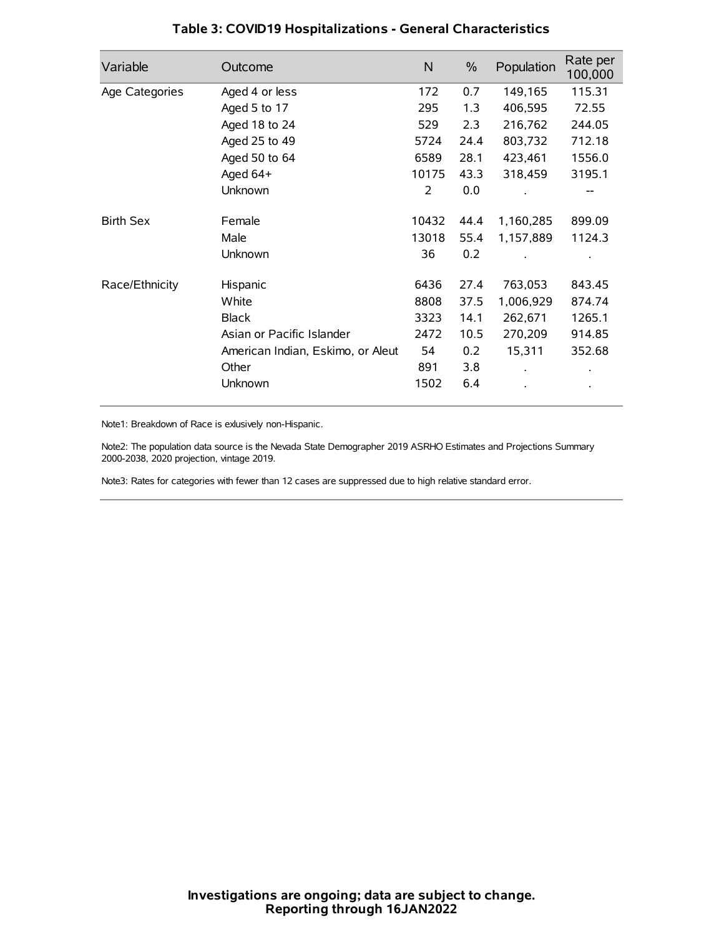| Variable         | Outcome                           | N     | $\%$ | Population | Rate per<br>100,000 |
|------------------|-----------------------------------|-------|------|------------|---------------------|
| Age Categories   | Aged 4 or less                    | 172   | 0.7  | 149,165    | 115.31              |
|                  | Aged 5 to 17                      | 295   | 1.3  | 406,595    | 72.55               |
|                  | Aged 18 to 24                     | 529   | 2.3  | 216,762    | 244.05              |
|                  | Aged 25 to 49                     | 5724  | 24.4 | 803,732    | 712.18              |
|                  | Aged 50 to 64                     | 6589  | 28.1 | 423,461    | 1556.0              |
|                  | Aged 64+                          | 10175 | 43.3 | 318,459    | 3195.1              |
|                  | Unknown                           | 2     | 0.0  |            |                     |
| <b>Birth Sex</b> | Female                            | 10432 | 44.4 | 1,160,285  | 899.09              |
|                  | Male                              | 13018 | 55.4 | 1,157,889  | 1124.3              |
|                  | Unknown                           | 36    | 0.2  |            |                     |
| Race/Ethnicity   | Hispanic                          | 6436  | 27.4 | 763,053    | 843.45              |
|                  | White                             | 8808  | 37.5 | 1,006,929  | 874.74              |
|                  | <b>Black</b>                      | 3323  | 14.1 | 262,671    | 1265.1              |
|                  | Asian or Pacific Islander         | 2472  | 10.5 | 270,209    | 914.85              |
|                  | American Indian, Eskimo, or Aleut | 54    | 0.2  | 15,311     | 352.68              |
|                  | Other                             | 891   | 3.8  |            |                     |
|                  | Unknown                           | 1502  | 6.4  |            |                     |

# **Table 3: COVID19 Hospitalizations - General Characteristics**

Note1: Breakdown of Race is exlusively non-Hispanic.

Note2: The population data source is the Nevada State Demographer 2019 ASRHO Estimates and Projections Summary 2000-2038, 2020 projection, vintage 2019.

Note3: Rates for categories with fewer than 12 cases are suppressed due to high relative standard error.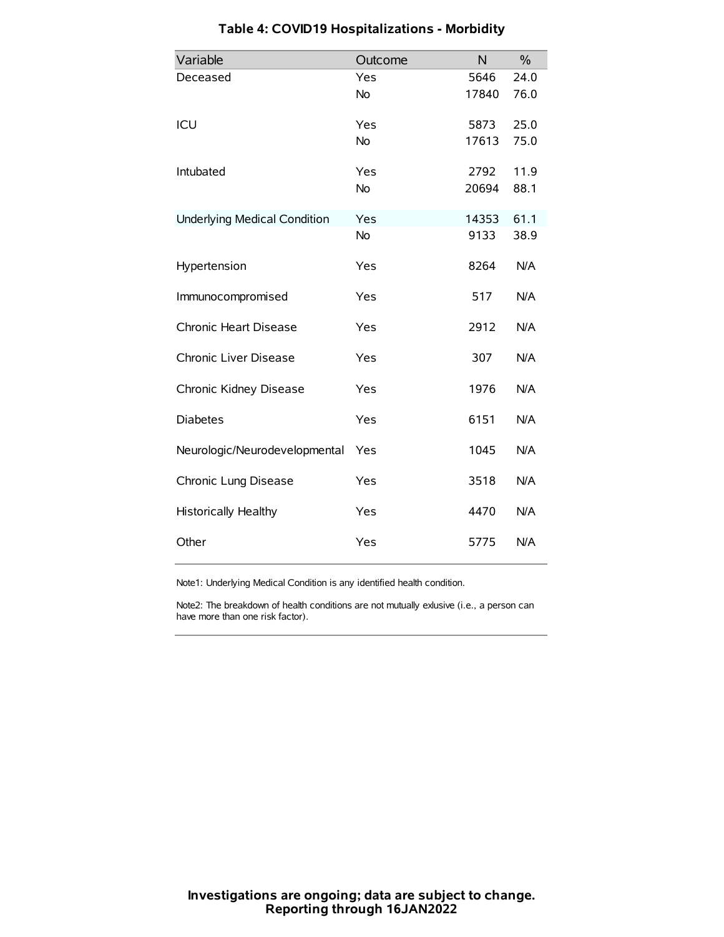| Variable                            | Outcome   | N     | $\frac{0}{0}$ |
|-------------------------------------|-----------|-------|---------------|
| Deceased                            | Yes       | 5646  | 24.0          |
|                                     | <b>No</b> | 17840 | 76.0          |
| ICU                                 | Yes       | 5873  | 25.0          |
|                                     | <b>No</b> | 17613 | 75.0          |
| Intubated                           | Yes       | 2792  | 11.9          |
|                                     | <b>No</b> | 20694 | 88.1          |
| <b>Underlying Medical Condition</b> | Yes       | 14353 | 61.1          |
|                                     | No        | 9133  | 38.9          |
| Hypertension                        | Yes       | 8264  | N/A           |
| Immunocompromised                   | Yes       | 517   | N/A           |
| Chronic Heart Disease               | Yes       | 2912  | N/A           |
| Chronic Liver Disease               | Yes       | 307   | N/A           |
| Chronic Kidney Disease              | Yes       | 1976  | N/A           |
| <b>Diabetes</b>                     | Yes       | 6151  | N/A           |
| Neurologic/Neurodevelopmental       | Yes       | 1045  | N/A           |
| Chronic Lung Disease                | Yes       | 3518  | N/A           |
| <b>Historically Healthy</b>         | Yes       | 4470  | N/A           |
| Other                               | Yes       | 5775  | N/A           |

# **Table 4: COVID19 Hospitalizations - Morbidity**

Note1: Underlying Medical Condition is any identified health condition.

Note2: The breakdown of health conditions are not mutually exlusive (i.e., a person can have more than one risk factor).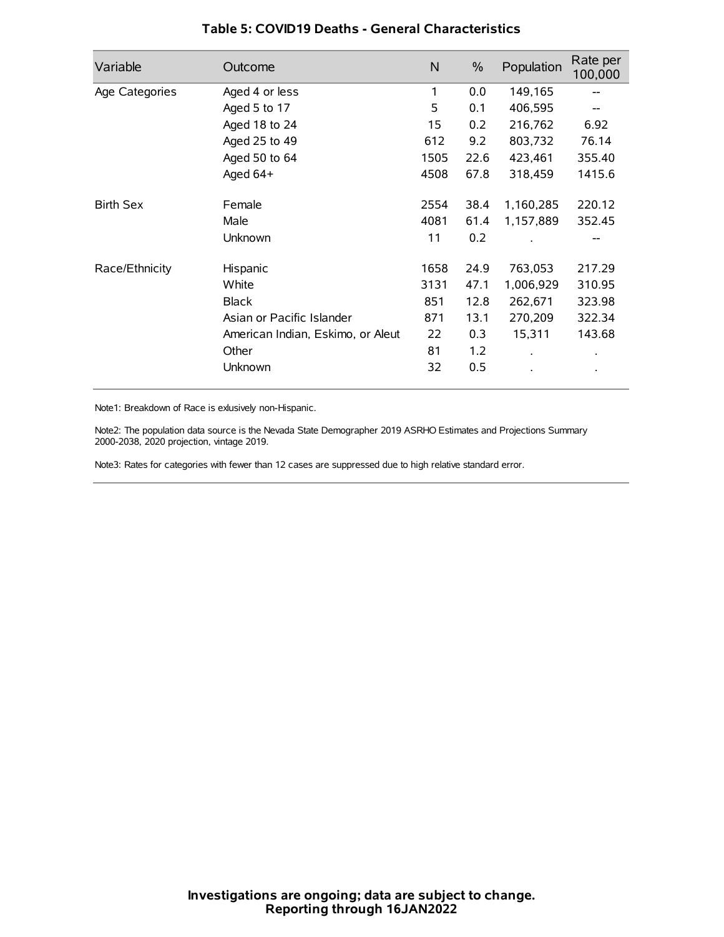| Variable         | Outcome                           | N    | $\%$ | Population           | Rate per<br>100,000 |
|------------------|-----------------------------------|------|------|----------------------|---------------------|
| Age Categories   | Aged 4 or less                    | 1    | 0.0  | 149,165              |                     |
|                  | Aged 5 to 17                      | 5    | 0.1  | 406,595              |                     |
|                  | Aged 18 to 24                     | 15   | 0.2  | 216,762              | 6.92                |
|                  | Aged 25 to 49                     | 612  | 9.2  | 803,732              | 76.14               |
|                  | Aged 50 to 64                     | 1505 | 22.6 | 423,461              | 355.40              |
|                  | Aged 64+                          | 4508 | 67.8 | 318,459              | 1415.6              |
| <b>Birth Sex</b> | Female                            | 2554 | 38.4 | 1,160,285            | 220.12              |
|                  | Male                              | 4081 | 61.4 | 1,157,889            | 352.45              |
|                  | Unknown                           | 11   | 0.2  |                      | --                  |
| Race/Ethnicity   | Hispanic                          | 1658 | 24.9 | 763,053              | 217.29              |
|                  | White                             | 3131 | 47.1 | 1,006,929            | 310.95              |
|                  | <b>Black</b>                      | 851  | 12.8 | 262,671              | 323.98              |
|                  | Asian or Pacific Islander         | 871  | 13.1 | 270,209              | 322.34              |
|                  | American Indian, Eskimo, or Aleut | 22   | 0.3  | 15,311               | 143.68              |
|                  | Other                             | 81   | 1.2  | $\ddot{\phantom{0}}$ | $\bullet$           |
|                  | Unknown                           | 32   | 0.5  |                      | $\bullet$           |

## **Table 5: COVID19 Deaths - General Characteristics**

Note1: Breakdown of Race is exlusively non-Hispanic.

Note2: The population data source is the Nevada State Demographer 2019 ASRHO Estimates and Projections Summary 2000-2038, 2020 projection, vintage 2019.

Note3: Rates for categories with fewer than 12 cases are suppressed due to high relative standard error.